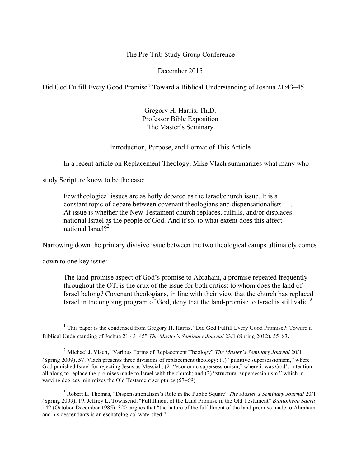### The Pre-Trib Study Group Conference

#### December 2015

Did God Fulfill Every Good Promise? Toward a Biblical Understanding of Joshua 21:43–45<sup>1</sup>

Gregory H. Harris, Th.D. Professor Bible Exposition The Master's Seminary

### Introduction, Purpose, and Format of This Article

In a recent article on Replacement Theology, Mike Vlach summarizes what many who

study Scripture know to be the case:

Few theological issues are as hotly debated as the Israel/church issue. It is a constant topic of debate between covenant theologians and dispensationalists . . . At issue is whether the New Testament church replaces, fulfills, and/or displaces national Israel as the people of God. And if so, to what extent does this affect national Israel $2^2$ 

Narrowing down the primary divisive issue between the two theological camps ultimately comes

down to one key issue:

The land-promise aspect of God's promise to Abraham, a promise repeated frequently throughout the OT, is the crux of the issue for both critics: to whom does the land of Israel belong? Covenant theologians, in line with their view that the church has replaced Israel in the ongoing program of God, deny that the land-promise to Israel is still valid.<sup>3</sup>

<sup>&</sup>lt;sup>1</sup> This paper is the condensed from Gregory H. Harris, "Did God Fulfill Every Good Promise?: Toward a Biblical Understanding of Joshua 21:43–45" *The Master's Seminary Journal* 23/1 (Spring 2012), 55–83.

<sup>2</sup> Michael J. Vlach, "Various Forms of Replacement Theology" *The Master's Seminary Journal* 20/1 (Spring 2009), 57. Vlach presents three divisions of replacement theology: (1) "punitive supersessionism," where God punished Israel for rejecting Jesus as Messiah; (2) "economic supersessionism," where it was God's intention all along to replace the promises made to Israel with the church; and (3) "structural supersessionism," which in varying degrees minimizes the Old Testament scriptures (57–69).

<sup>3</sup> Robert L. Thomas, "Dispensationalism's Role in the Public Square" *The Master's Seminary Journal* 20/1 (Spring 2009), 19. Jeffrey L. Townsend, "Fulfillment of the Land Promise in the Old Testament" *Bibliotheca Sacra* 142 (October-December 1985), 320, argues that "the nature of the fulfillment of the land promise made to Abraham and his descendants is an eschatological watershed."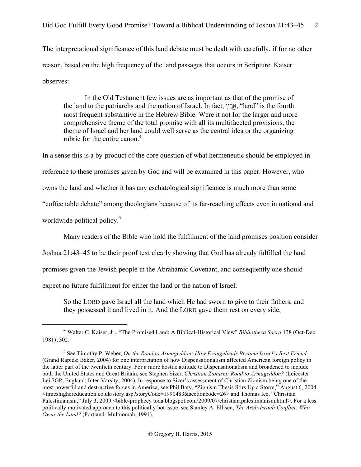The interpretational significance of this land debate must be dealt with carefully, if for no other reason, based on the high frequency of the land passages that occurs in Scripture. Kaiser observes:

In the Old Testament few issues are as important as that of the promise of the land to the patriarchs and the nation of Israel. In fact,  $\gamma_{\mathbb{R}}$ , "land" is the fourth most frequent substantive in the Hebrew Bible. Were it not for the larger and more comprehensive theme of the total promise with all its multifaceted provisions, the theme of Israel and her land could well serve as the central idea or the organizing rubric for the entire canon.<sup>4</sup>

In a sense this is a by-product of the core question of what hermeneutic should be employed in reference to these promises given by God and will be examined in this paper. However, who owns the land and whether it has any eschatological significance is much more than some "coffee table debate" among theologians because of its far-reaching effects even in national and worldwide political policy.<sup>5</sup>

Many readers of the Bible who hold the fulfillment of the land promises position consider

Joshua 21:43–45 to be their proof text clearly showing that God has already fulfilled the land

promises given the Jewish people in the Abrahamic Covenant, and consequently one should

expect no future fulfillment for either the land or the nation of Israel:

So the LORD gave Israel all the land which He had sworn to give to their fathers, and they possessed it and lived in it. And the LORD gave them rest on every side,

 <sup>4</sup> Walter C. Kaiser, Jr., "The Promised Land: A Biblical-Historical View" *Bibliotheca Sacra* 138 (Oct-Dec 1981), 302.

<sup>5</sup> See Timothy P. Weber, *On the Road to Armageddon: How Evangelicals Became Israel's Best Friend* (Grand Rapids: Baker, 2004) for one interpretation of how Dispensationalism affected American foreign policy in the latter part of the twentieth century. For a more hostile attitude to Dispensationalism and broadened to include both the United States and Great Britain, see Stephen Sizer, *Christian Zionism: Road to Armageddon?* (Leicester Lei 7GP, England: Inter-Varsity, 2004). In response to Sizer's assessment of Christian Zionism being one of the most powerful and destructive forces in America, see Phil Baty, "Zionism Thesis Stirs Up a Storm," August 6, 2004 <timeshighereducation.co.uk/story.asp?storyCode=1990483&sectioncode=26> and Thomas Ice, "Christian Palestinianism," July 3, 2009 <br/>bible-prophecy toda.blogspot.com/2009/07/christian.palestinianism.html>. For a less politically motivated approach to this politically hot issue, see Stanley A. Ellisen, *The Arab-Israeli Conflict: Who Owns the Land?* (Portland: Multnomah, 1991).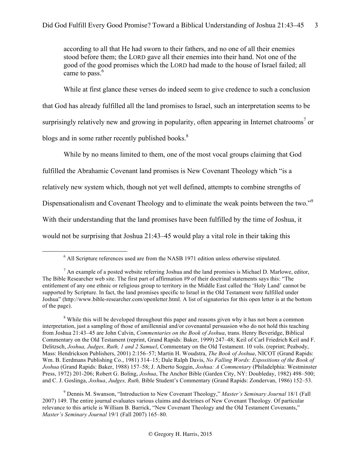according to all that He had sworn to their fathers, and no one of all their enemies stood before them; the LORD gave all their enemies into their hand. Not one of the good of the good promises which the LORD had made to the house of Israel failed; all came to pass.<sup>6</sup>

While at first glance these verses do indeed seem to give credence to such a conclusion that God has already fulfilled all the land promises to Israel, such an interpretation seems to be surprisingly relatively new and growing in popularity, often appearing in Internet chatrooms<sup>7</sup> or blogs and in some rather recently published books.<sup>8</sup>

While by no means limited to them, one of the most vocal groups claiming that God fulfilled the Abrahamic Covenant land promises is New Covenant Theology which "is a

relatively new system which, though not yet well defined, attempts to combine strengths of

Dispensationalism and Covenant Theology and to eliminate the weak points between the two."<sup>9</sup>

With their understanding that the land promises have been fulfilled by the time of Joshua, it

would not be surprising that Joshua 21:43–45 would play a vital role in their taking this

<sup>6</sup> All Scripture references used are from the NASB 1971 edition unless otherwise stipulated.

 $<sup>7</sup>$  An example of a posted website referring Joshua and the land promises is Michael D. Marlowe, editor,</sup> The Bible Researcher web site. The first part of affirmation #9 of their doctrinal statements says this: "The entitlement of any one ethnic or religious group to territory in the Middle East called the 'Holy Land' cannot be supported by Scripture. In fact, the land promises specific to Israel in the Old Testament were fulfilled under Joshua" (http://www.bible-researcher.com/openletter.html. A list of signatories for this open letter is at the bottom of the page).

<sup>&</sup>lt;sup>8</sup> While this will be developed throughout this paper and reasons given why it has not been a common interpretation, just a sampling of those of amillennial and/or covenantal persuasion who do not hold this teaching from Joshua 21:43–45 are John Calvin, *Commentaries on the Book of Joshua*, trans. Henry Beveridge, Biblical Commentary on the Old Testament (reprint, Grand Rapids: Baker, 1999) 247–48; Keil of Carl Friedrich Keil and F. Delitzsch, *Joshua, Judges, Ruth, 1 and 2 Samuel*, Commentary on the Old Testament. 10 vols. (reprint; Peabody, Mass: Hendrickson Publishers, 2001) 2:156–57; Martin H. Woudstra, *The Book of Joshua*, NICOT (Grand Rapids: Wm. B. Eerdmans Publishing Co., 1981) 314–15; Dale Ralph Davis, *No Falling Words: Expositions of the Book of Joshua* (Grand Rapids: Baker, 1988) 157–58; J. Alberto Soggin, *Joshua: A Commentary* (Philadelphia: Westminster Press, 1972) 201-206; Robert G. Boling, *Joshua*, The Anchor Bible (Garden City, NY: Doubleday, 1982) 498–500; and C. J. Goslinga, *Joshua*, *Judges, Ruth,* Bible Student's Commentary (Grand Rapids: Zondervan, 1986) 152–53.

<sup>9</sup> Dennis M. Swanson, "Introduction to New Covenant Theology," *Master's Seminary Journal* 18/1 (Fall 2007) 149. The entire journal evaluates various claims and doctrines of New Covenant Theology. Of particular relevance to this article is William B. Barrick, "New Covenant Theology and the Old Testament Covenants," *Master's Seminary Journal* 19/1 (Fall 2007) 165–80.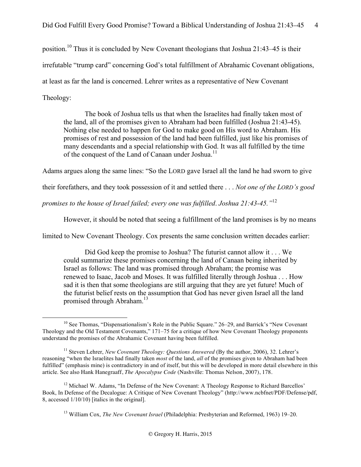position.<sup>10</sup> Thus it is concluded by New Covenant theologians that Joshua 21:43–45 is their irrefutable "trump card" concerning God's total fulfillment of Abrahamic Covenant obligations, at least as far the land is concerned. Lehrer writes as a representative of New Covenant Theology:

The book of Joshua tells us that when the Israelites had finally taken most of the land, all of the promises given to Abraham had been fulfilled (Joshua 21:43-45). Nothing else needed to happen for God to make good on His word to Abraham. His promises of rest and possession of the land had been fulfilled, just like his promises of many descendants and a special relationship with God. It was all fulfilled by the time of the conquest of the Land of Canaan under Joshua.<sup>11</sup>

Adams argues along the same lines: "So the LORD gave Israel all the land he had sworn to give

their forefathers, and they took possession of it and settled there . . . *Not one of the LORD's good* 

*promises to the house of Israel failed; every one was fulfilled*. *Joshua 21:43-45."*<sup>12</sup>

However, it should be noted that seeing a fulfillment of the land promises is by no means

limited to New Covenant Theology. Cox presents the same conclusion written decades earlier:

Did God keep the promise to Joshua? The futurist cannot allow it . . . We could summarize these promises concerning the land of Canaan being inherited by Israel as follows: The land was promised through Abraham; the promise was renewed to Isaac, Jacob and Moses. It was fulfilled literally through Joshua . . . How sad it is then that some theologians are still arguing that they are yet future! Much of the futurist belief rests on the assumption that God has never given Israel all the land promised through Abraham.<sup>13</sup>

<sup>&</sup>lt;sup>10</sup> See Thomas, "Dispensationalism's Role in the Public Square." 26–29, and Barrick's "New Covenant Theology and the Old Testament Covenants," 171–75 for a critique of how New Covenant Theology proponents understand the promises of the Abrahamic Covenant having been fulfilled.

<sup>&</sup>lt;sup>11</sup> Steven Lehrer, *New Covenant Theology: Questions Answered* (By the author, 2006), 32. Lehrer's reasoning "when the Israelites had finally taken *most* of the land, *all* of the promises given to Abraham had been fulfilled" (emphasis mine) is contradictory in and of itself, but this will be developed in more detail elsewhere in this article. See also Hank Hanegraaff, *The Apocalypse Code* (Nashville: Thomas Nelson, 2007), 178.

 $12$  Michael W. Adams, "In Defense of the New Covenant: A Theology Response to Richard Barcellos' Book, In Defense of the Decalogue: A Critique of New Covenant Theology" (http://www.ncbfnet/PDF/Defense/pdf, 8, accessed 1/10/10) [italics in the original].

<sup>13</sup> William Cox, *The New Covenant Israel* (Philadelphia: Presbyterian and Reformed, 1963) 19–20.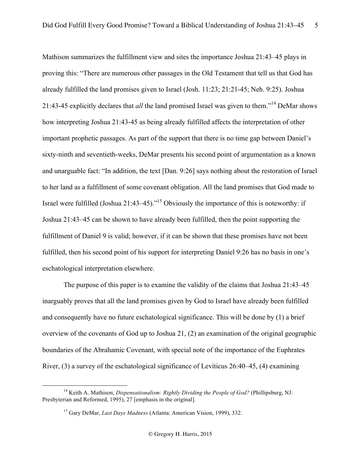Mathison summarizes the fulfillment view and sites the importance Joshua 21:43–45 plays in proving this: "There are numerous other passages in the Old Testament that tell us that God has already fulfilled the land promises given to Israel (Josh. 11:23; 21:21-45; Neh. 9:25). Joshua 21:43-45 explicitly declares that *all* the land promised Israel was given to them."<sup>14</sup> DeMar shows how interpreting Joshua 21:43-45 as being already fulfilled affects the interpretation of other important prophetic passages. As part of the support that there is no time gap between Daniel's sixty-ninth and seventieth-weeks, DeMar presents his second point of argumentation as a known and unarguable fact: "In addition, the text [Dan. 9:26] says nothing about the restoration of Israel to her land as a fulfillment of some covenant obligation. All the land promises that God made to Israel were fulfilled (Joshua 21:43–45)."15 Obviously the importance of this is noteworthy: if Joshua 21:43–45 can be shown to have already been fulfilled, then the point supporting the fulfillment of Daniel 9 is valid; however, if it can be shown that these promises have not been fulfilled, then his second point of his support for interpreting Daniel 9:26 has no basis in one's eschatological interpretation elsewhere.

The purpose of this paper is to examine the validity of the claims that Joshua 21:43–45 inarguably proves that all the land promises given by God to Israel have already been fulfilled and consequently have no future eschatological significance. This will be done by (1) a brief overview of the covenants of God up to Joshua 21, (2) an examination of the original geographic boundaries of the Abrahamic Covenant, with special note of the importance of the Euphrates River, (3) a survey of the eschatological significance of Leviticus 26:40–45, (4) examining

<sup>14</sup> Keith A. Mathison, *Dispensationalism: Rightly Dividing the People of God?* (Phillipsburg, NJ: Presbyterian and Reformed, 1995), 27 [emphasis in the original].

<sup>15</sup> Gary DeMar, *Last Days Madness* (Atlanta: American Vision, 1999), 332.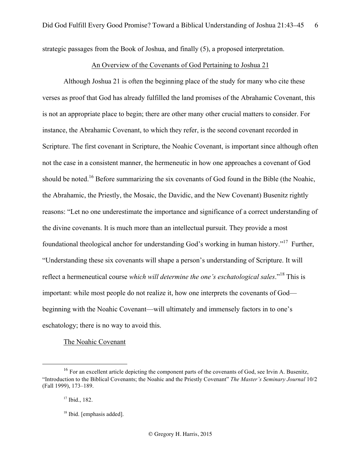strategic passages from the Book of Joshua, and finally (5), a proposed interpretation.

# An Overview of the Covenants of God Pertaining to Joshua 21

Although Joshua 21 is often the beginning place of the study for many who cite these verses as proof that God has already fulfilled the land promises of the Abrahamic Covenant, this is not an appropriate place to begin; there are other many other crucial matters to consider. For instance, the Abrahamic Covenant, to which they refer, is the second covenant recorded in Scripture. The first covenant in Scripture, the Noahic Covenant, is important since although often not the case in a consistent manner, the hermeneutic in how one approaches a covenant of God should be noted.<sup>16</sup> Before summarizing the six covenants of God found in the Bible (the Noahic, the Abrahamic, the Priestly, the Mosaic, the Davidic, and the New Covenant) Busenitz rightly reasons: "Let no one underestimate the importance and significance of a correct understanding of the divine covenants. It is much more than an intellectual pursuit. They provide a most foundational theological anchor for understanding God's working in human history."17 Further, "Understanding these six covenants will shape a person's understanding of Scripture. It will reflect a hermeneutical course *which will determine the one's eschatological sales*."<sup>18</sup> This is important: while most people do not realize it, how one interprets the covenants of God beginning with the Noahic Covenant—will ultimately and immensely factors in to one's eschatology; there is no way to avoid this.

The Noahic Covenant

 $16$  For an excellent article depicting the component parts of the covenants of God, see Irvin A. Busenitz, "Introduction to the Biblical Covenants; the Noahic and the Priestly Covenant" *The Master's Seminary Journal* 10/2 (Fall 1999), 173–189.

<sup>&</sup>lt;sup>17</sup> Ibid., 182.

<sup>&</sup>lt;sup>18</sup> Ibid. [emphasis added].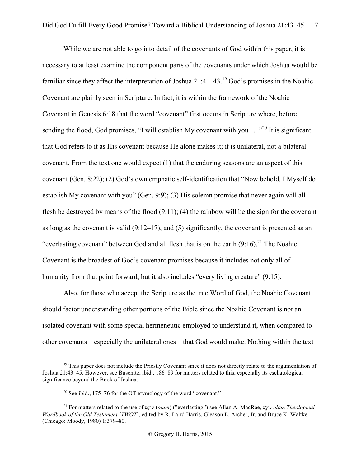While we are not able to go into detail of the covenants of God within this paper, it is necessary to at least examine the component parts of the covenants under which Joshua would be familiar since they affect the interpretation of Joshua  $21:41-43$ .<sup>19</sup> God's promises in the Noahic Covenant are plainly seen in Scripture. In fact, it is within the framework of the Noahic Covenant in Genesis 6:18 that the word "covenant" first occurs in Scripture where, before sending the flood, God promises, "I will establish My covenant with you  $\ldots$  ..."<sup>20</sup> It is significant that God refers to it as His covenant because He alone makes it; it is unilateral, not a bilateral covenant. From the text one would expect (1) that the enduring seasons are an aspect of this covenant (Gen. 8:22); (2) God's own emphatic self-identification that "Now behold, I Myself do establish My covenant with you" (Gen. 9:9); (3) His solemn promise that never again will all flesh be destroyed by means of the flood (9:11); (4) the rainbow will be the sign for the covenant as long as the covenant is valid (9:12–17), and (5) significantly, the covenant is presented as an "everlasting covenant" between God and all flesh that is on the earth  $(9:16)$ .<sup>21</sup> The Noahic Covenant is the broadest of God's covenant promises because it includes not only all of humanity from that point forward, but it also includes "every living creature" (9:15).

Also, for those who accept the Scripture as the true Word of God, the Noahic Covenant should factor understanding other portions of the Bible since the Noahic Covenant is not an isolated covenant with some special hermeneutic employed to understand it, when compared to other covenants—especially the unilateral ones—that God would make. Nothing within the text

<sup>&</sup>lt;sup>19</sup> This paper does not include the Priestly Covenant since it does not directly relate to the argumentation of Joshua 21:43–45. However, see Busenitz, ibid., 186–89 for matters related to this, especially its eschatological significance beyond the Book of Joshua.

<sup>&</sup>lt;sup>20</sup> See ibid., 175–76 for the OT etymology of the word "covenant."

<sup>&</sup>lt;sup>21</sup> For matters related to the use of  $\frac{1}{2}$ עוֹלֶם (*olam*) ("everlasting") see Allan A. MacRae, ש*ׁוֹבּלֵם olam Theological Wordbook of the Old Testament* [*TWOT*], edited by R. Laird Harris, Gleason L. Archer, Jr. and Bruce K. Waltke (Chicago: Moody, 1980) 1:379–80.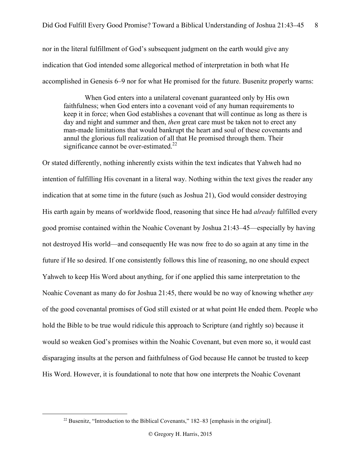nor in the literal fulfillment of God's subsequent judgment on the earth would give any indication that God intended some allegorical method of interpretation in both what He accomplished in Genesis 6–9 nor for what He promised for the future. Busenitz properly warns:

When God enters into a unilateral covenant guaranteed only by His own faithfulness; when God enters into a covenant void of any human requirements to keep it in force; when God establishes a covenant that will continue as long as there is day and night and summer and then, *then* great care must be taken not to erect any man-made limitations that would bankrupt the heart and soul of these covenants and annul the glorious full realization of all that He promised through them. Their significance cannot be over-estimated.<sup>22</sup>

Or stated differently, nothing inherently exists within the text indicates that Yahweh had no intention of fulfilling His covenant in a literal way. Nothing within the text gives the reader any indication that at some time in the future (such as Joshua 21), God would consider destroying His earth again by means of worldwide flood, reasoning that since He had *already* fulfilled every good promise contained within the Noahic Covenant by Joshua 21:43–45—especially by having not destroyed His world—and consequently He was now free to do so again at any time in the future if He so desired. If one consistently follows this line of reasoning, no one should expect Yahweh to keep His Word about anything, for if one applied this same interpretation to the Noahic Covenant as many do for Joshua 21:45, there would be no way of knowing whether *any* of the good covenantal promises of God still existed or at what point He ended them. People who hold the Bible to be true would ridicule this approach to Scripture (and rightly so) because it would so weaken God's promises within the Noahic Covenant, but even more so, it would cast disparaging insults at the person and faithfulness of God because He cannot be trusted to keep His Word. However, it is foundational to note that how one interprets the Noahic Covenant

<sup>&</sup>lt;sup>22</sup> Busenitz, "Introduction to the Biblical Covenants," 182–83 [emphasis in the original].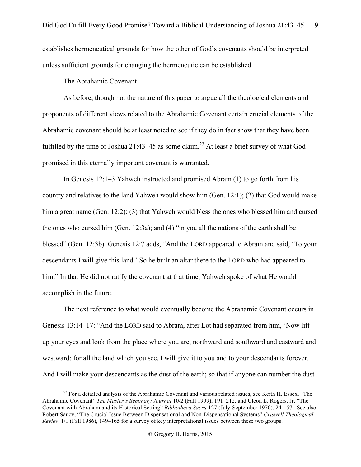establishes hermeneutical grounds for how the other of God's covenants should be interpreted unless sufficient grounds for changing the hermeneutic can be established.

#### The Abrahamic Covenant

As before, though not the nature of this paper to argue all the theological elements and proponents of different views related to the Abrahamic Covenant certain crucial elements of the Abrahamic covenant should be at least noted to see if they do in fact show that they have been fulfilled by the time of Joshua 21:43–45 as some claim.<sup>23</sup> At least a brief survey of what God promised in this eternally important covenant is warranted.

In Genesis 12:1–3 Yahweh instructed and promised Abram (1) to go forth from his country and relatives to the land Yahweh would show him (Gen. 12:1); (2) that God would make him a great name (Gen. 12:2); (3) that Yahweh would bless the ones who blessed him and cursed the ones who cursed him (Gen. 12:3a); and (4) "in you all the nations of the earth shall be blessed" (Gen. 12:3b). Genesis 12:7 adds, "And the LORD appeared to Abram and said, 'To your descendants I will give this land.' So he built an altar there to the LORD who had appeared to him." In that He did not ratify the covenant at that time, Yahweh spoke of what He would accomplish in the future.

The next reference to what would eventually become the Abrahamic Covenant occurs in Genesis 13:14–17: "And the LORD said to Abram, after Lot had separated from him, 'Now lift up your eyes and look from the place where you are, northward and southward and eastward and westward; for all the land which you see, I will give it to you and to your descendants forever. And I will make your descendants as the dust of the earth; so that if anyone can number the dust

 $23$  For a detailed analysis of the Abrahamic Covenant and various related issues, see Keith H. Essex, "The Abrahamic Covenant" *The Master's Seminary Journal* 10/2 (Fall 1999), 191–212, and Cleon L. Rogers, Jr. "The Covenant with Abraham and its Historical Setting" *Bibliotheca Sacra* 127 (July-September 1970), 241-57. See also Robert Saucy, "The Crucial Issue Between Dispensational and Non-Dispensational Systems" *Criswell Theological Review* 1/1 (Fall 1986), 149–165 for a survey of key interpretational issues between these two groups.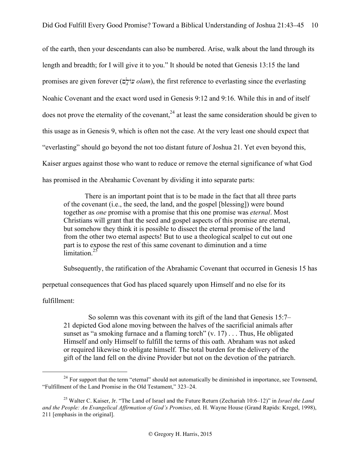of the earth, then your descendants can also be numbered. Arise, walk about the land through its length and breadth; for I will give it to you." It should be noted that Genesis 13:15 the land promises are given forever (M`Dlwøo *olam*), the first reference to everlasting since the everlasting Noahic Covenant and the exact word used in Genesis 9:12 and 9:16. While this in and of itself does not prove the eternality of the covenant,  $24$  at least the same consideration should be given to this usage as in Genesis 9, which is often not the case. At the very least one should expect that "everlasting" should go beyond the not too distant future of Joshua 21. Yet even beyond this, Kaiser argues against those who want to reduce or remove the eternal significance of what God has promised in the Abrahamic Covenant by dividing it into separate parts:

There is an important point that is to be made in the fact that all three parts of the covenant (i.e., the seed, the land, and the gospel [blessing]) were bound together as *one* promise with a promise that this one promise was *eternal*. Most Christians will grant that the seed and gospel aspects of this promise are eternal, but somehow they think it is possible to dissect the eternal promise of the land from the other two eternal aspects! But to use a theological scalpel to cut out one part is to expose the rest of this same covenant to diminution and a time  $\overline{\mathsf{limit}}$  ation  $25$ 

Subsequently, the ratification of the Abrahamic Covenant that occurred in Genesis 15 has

perpetual consequences that God has placed squarely upon Himself and no else for its

fulfillment:

 So solemn was this covenant with its gift of the land that Genesis 15:7– 21 depicted God alone moving between the halves of the sacrificial animals after sunset as "a smoking furnace and a flaming torch"  $(v, 17)$ ... Thus, He obligated Himself and only Himself to fulfill the terms of this oath. Abraham was not asked or required likewise to obligate himself. The total burden for the delivery of the gift of the land fell on the divine Provider but not on the devotion of the patriarch.

 $^{24}$  For support that the term "eternal" should not automatically be diminished in importance, see Townsend, "Fulfillment of the Land Promise in the Old Testament," 323–24.

<sup>25</sup> Walter C. Kaiser, Jr. "The Land of Israel and the Future Return (Zechariah 10:6–12)" in *Israel the Land and the People: An Evangelical Affirmation of God's Promises*, ed. H. Wayne House (Grand Rapids: Kregel, 1998), 211 [emphasis in the original].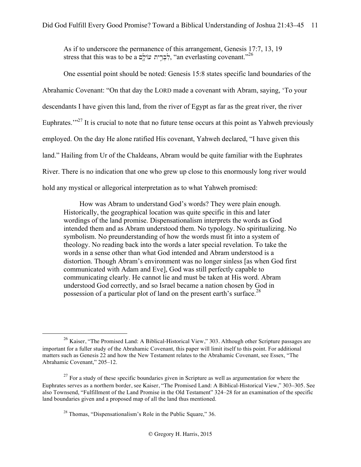As if to underscore the permanence of this arrangement, Genesis 17:7, 13, 19 stress that this was to be a לְבְרֵית עוֹלֵם, "an everlasting covenant."<sup>26</sup>

One essential point should be noted: Genesis 15:8 states specific land boundaries of the Abrahamic Covenant: "On that day the LORD made a covenant with Abram, saying, 'To your descendants I have given this land, from the river of Egypt as far as the great river, the river Euphrates. $1^{27}$  It is crucial to note that no future tense occurs at this point as Yahweh previously employed. On the day He alone ratified His covenant, Yahweh declared, "I have given this land." Hailing from Ur of the Chaldeans, Abram would be quite familiar with the Euphrates River. There is no indication that one who grew up close to this enormously long river would hold any mystical or allegorical interpretation as to what Yahweh promised:

How was Abram to understand God's words? They were plain enough. Historically, the geographical location was quite specific in this and later wordings of the land promise. Dispensationalism interprets the words as God intended them and as Abram understood them. No typology. No spiritualizing. No symbolism. No preunderstanding of how the words must fit into a system of theology. No reading back into the words a later special revelation. To take the words in a sense other than what God intended and Abram understood is a distortion. Though Abram's environment was no longer sinless [as when God first communicated with Adam and Eve], God was still perfectly capable to communicating clearly. He cannot lie and must be taken at His word. Abram understood God correctly, and so Israel became a nation chosen by God in possession of a particular plot of land on the present earth's surface.<sup>28</sup>

<sup>&</sup>lt;sup>26</sup> Kaiser, "The Promised Land: A Biblical-Historical View," 303. Although other Scripture passages are important for a fuller study of the Abrahamic Covenant, this paper will limit itself to this point. For additional matters such as Genesis 22 and how the New Testament relates to the Abrahamic Covenant, see Essex, "The Abrahamic Covenant," 205–12.

 $27$  For a study of these specific boundaries given in Scripture as well as argumentation for where the Euphrates serves as a northern border, see Kaiser, "The Promised Land: A Biblical-Historical View," 303–305. See also Townsend, "Fulfillment of the Land Promise in the Old Testament" 324–28 for an examination of the specific land boundaries given and a proposed map of all the land thus mentioned.

<sup>28</sup> Thomas, "Dispensationalism's Role in the Public Square," 36.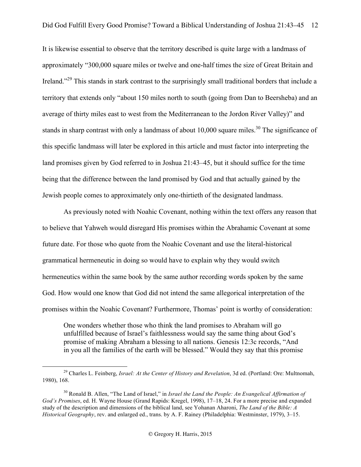It is likewise essential to observe that the territory described is quite large with a landmass of approximately "300,000 square miles or twelve and one-half times the size of Great Britain and Ireland."29 This stands in stark contrast to the surprisingly small traditional borders that include a territory that extends only "about 150 miles north to south (going from Dan to Beersheba) and an average of thirty miles east to west from the Mediterranean to the Jordon River Valley)" and stands in sharp contrast with only a landmass of about  $10,000$  square miles.<sup>30</sup> The significance of this specific landmass will later be explored in this article and must factor into interpreting the land promises given by God referred to in Joshua 21:43–45, but it should suffice for the time being that the difference between the land promised by God and that actually gained by the Jewish people comes to approximately only one-thirtieth of the designated landmass.

As previously noted with Noahic Covenant, nothing within the text offers any reason that to believe that Yahweh would disregard His promises within the Abrahamic Covenant at some future date. For those who quote from the Noahic Covenant and use the literal-historical grammatical hermeneutic in doing so would have to explain why they would switch hermeneutics within the same book by the same author recording words spoken by the same God. How would one know that God did not intend the same allegorical interpretation of the promises within the Noahic Covenant? Furthermore, Thomas' point is worthy of consideration:

One wonders whether those who think the land promises to Abraham will go unfulfilled because of Israel's faithlessness would say the same thing about God's promise of making Abraham a blessing to all nations. Genesis 12:3c records, "And in you all the families of the earth will be blessed." Would they say that this promise

<sup>29</sup> Charles L. Feinberg, *Israel: At the Center of History and Revelation*, 3d ed. (Portland: Ore: Multnomah, 1980), 168.

<sup>&</sup>lt;sup>30</sup> Ronald B. Allen, "The Land of Israel," in *Israel the Land the People: An Evangelical Affirmation of God's Promises*, ed. H. Wayne House (Grand Rapids: Kregel, 1998), 17–18, 24. For a more precise and expanded study of the description and dimensions of the biblical land, see Yohanan Aharoni, *The Land of the Bible: A Historical Geography*, rev. and enlarged ed., trans. by A. F. Rainey (Philadelphia: Westminster, 1979), 3–15.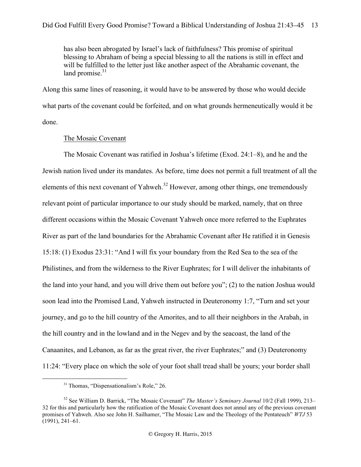has also been abrogated by Israel's lack of faithfulness? This promise of spiritual blessing to Abraham of being a special blessing to all the nations is still in effect and will be fulfilled to the letter just like another aspect of the Abrahamic covenant, the land promise. $31$ 

Along this same lines of reasoning, it would have to be answered by those who would decide what parts of the covenant could be forfeited, and on what grounds hermeneutically would it be done.

# The Mosaic Covenant

The Mosaic Covenant was ratified in Joshua's lifetime (Exod. 24:1–8), and he and the Jewish nation lived under its mandates. As before, time does not permit a full treatment of all the elements of this next covenant of Yahweh.<sup>32</sup> However, among other things, one tremendously relevant point of particular importance to our study should be marked, namely, that on three different occasions within the Mosaic Covenant Yahweh once more referred to the Euphrates River as part of the land boundaries for the Abrahamic Covenant after He ratified it in Genesis 15:18: (1) Exodus 23:31: "And I will fix your boundary from the Red Sea to the sea of the Philistines, and from the wilderness to the River Euphrates; for I will deliver the inhabitants of the land into your hand, and you will drive them out before you"; (2) to the nation Joshua would soon lead into the Promised Land, Yahweh instructed in Deuteronomy 1:7, "Turn and set your journey, and go to the hill country of the Amorites, and to all their neighbors in the Arabah, in the hill country and in the lowland and in the Negev and by the seacoast, the land of the Canaanites, and Lebanon, as far as the great river, the river Euphrates;" and (3) Deuteronomy 11:24: "Every place on which the sole of your foot shall tread shall be yours; your border shall

<sup>&</sup>lt;sup>31</sup> Thomas, "Dispensationalism's Role," 26.

<sup>32</sup> See William D. Barrick, "The Mosaic Covenant" *The Master's Seminary Journal* 10/2 (Fall 1999), 213– 32 for this and particularly how the ratification of the Mosaic Covenant does not annul any of the previous covenant promises of Yahweh. Also see John H. Sailhamer, "The Mosaic Law and the Theology of the Pentateuch" *WTJ* 53 (1991), 241–61.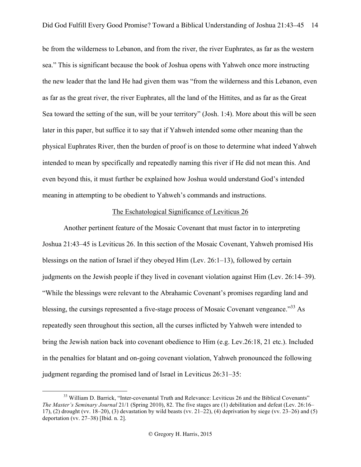be from the wilderness to Lebanon, and from the river, the river Euphrates, as far as the western sea." This is significant because the book of Joshua opens with Yahweh once more instructing the new leader that the land He had given them was "from the wilderness and this Lebanon, even as far as the great river, the river Euphrates, all the land of the Hittites, and as far as the Great Sea toward the setting of the sun, will be your territory" (Josh. 1:4). More about this will be seen later in this paper, but suffice it to say that if Yahweh intended some other meaning than the physical Euphrates River, then the burden of proof is on those to determine what indeed Yahweh intended to mean by specifically and repeatedly naming this river if He did not mean this. And even beyond this, it must further be explained how Joshua would understand God's intended meaning in attempting to be obedient to Yahweh's commands and instructions.

# The Eschatological Significance of Leviticus 26

Another pertinent feature of the Mosaic Covenant that must factor in to interpreting Joshua 21:43–45 is Leviticus 26. In this section of the Mosaic Covenant, Yahweh promised His blessings on the nation of Israel if they obeyed Him (Lev. 26:1–13), followed by certain judgments on the Jewish people if they lived in covenant violation against Him (Lev. 26:14–39). "While the blessings were relevant to the Abrahamic Covenant's promises regarding land and blessing, the cursings represented a five-stage process of Mosaic Covenant vengeance.<sup>33</sup> As repeatedly seen throughout this section, all the curses inflicted by Yahweh were intended to bring the Jewish nation back into covenant obedience to Him (e.g. Lev.26:18, 21 etc.). Included in the penalties for blatant and on-going covenant violation, Yahweh pronounced the following judgment regarding the promised land of Israel in Leviticus 26:31–35:

<sup>&</sup>lt;sup>33</sup> William D. Barrick, "Inter-covenantal Truth and Relevance: Leviticus 26 and the Biblical Covenants" *The Master's Seminary Journal* 21/1 (Spring 2010), 82. The five stages are (1) debilitation and defeat (Lev. 26:16– 17), (2) drought (vv. 18–20), (3) devastation by wild beasts (vv. 21–22), (4) deprivation by siege (vv. 23–26) and (5) deportation (vv. 27–38) [Ibid. n. 2].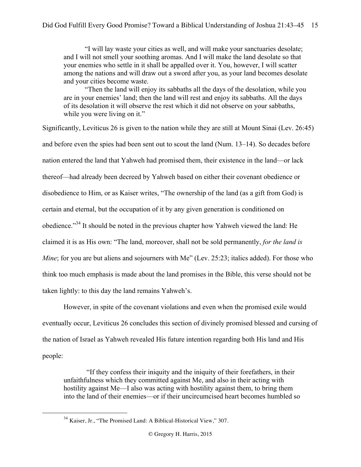"I will lay waste your cities as well, and will make your sanctuaries desolate; and I will not smell your soothing aromas. And I will make the land desolate so that your enemies who settle in it shall be appalled over it. You, however, I will scatter among the nations and will draw out a sword after you, as your land becomes desolate and your cities become waste.

"Then the land will enjoy its sabbaths all the days of the desolation, while you are in your enemies' land; then the land will rest and enjoy its sabbaths. All the days of its desolation it will observe the rest which it did not observe on your sabbaths, while you were living on it."

Significantly, Leviticus 26 is given to the nation while they are still at Mount Sinai (Lev. 26:45) and before even the spies had been sent out to scout the land (Num. 13–14). So decades before nation entered the land that Yahweh had promised them, their existence in the land—or lack thereof—had already been decreed by Yahweh based on either their covenant obedience or disobedience to Him, or as Kaiser writes, "The ownership of the land (as a gift from God) is certain and eternal, but the occupation of it by any given generation is conditioned on obedience."34 It should be noted in the previous chapter how Yahweh viewed the land: He claimed it is as His own: "The land, moreover, shall not be sold permanently, *for the land is Mine*; for you are but aliens and sojourners with Me" (Lev. 25:23; italics added). For those who think too much emphasis is made about the land promises in the Bible, this verse should not be taken lightly: to this day the land remains Yahweh's.

However, in spite of the covenant violations and even when the promised exile would eventually occur, Leviticus 26 concludes this section of divinely promised blessed and cursing of the nation of Israel as Yahweh revealed His future intention regarding both His land and His people:

"If they confess their iniquity and the iniquity of their forefathers, in their unfaithfulness which they committed against Me, and also in their acting with hostility against Me—I also was acting with hostility against them, to bring them into the land of their enemies—or if their uncircumcised heart becomes humbled so

 <sup>34</sup> Kaiser, Jr., "The Promised Land: A Biblical-Historical View," 307.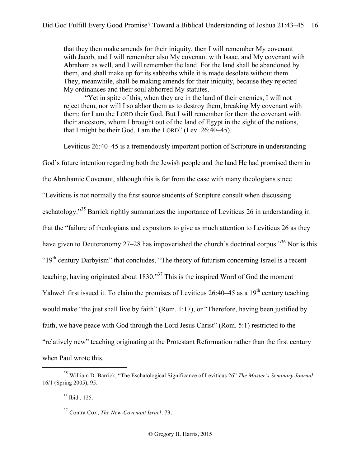that they then make amends for their iniquity, then I will remember My covenant with Jacob, and I will remember also My covenant with Isaac, and My covenant with Abraham as well, and I will remember the land. For the land shall be abandoned by them, and shall make up for its sabbaths while it is made desolate without them. They, meanwhile, shall be making amends for their iniquity, because they rejected My ordinances and their soul abhorred My statutes.

"Yet in spite of this, when they are in the land of their enemies, I will not reject them, nor will I so abhor them as to destroy them, breaking My covenant with them; for I am the LORD their God. But I will remember for them the covenant with their ancestors, whom I brought out of the land of Egypt in the sight of the nations, that I might be their God. I am the LORD" (Lev. 26:40–45).

Leviticus 26:40–45 is a tremendously important portion of Scripture in understanding

God's future intention regarding both the Jewish people and the land He had promised them in

the Abrahamic Covenant, although this is far from the case with many theologians since

"Leviticus is not normally the first source students of Scripture consult when discussing

eschatology."<sup>35</sup> Barrick rightly summarizes the importance of Leviticus 26 in understanding in

that the "failure of theologians and expositors to give as much attention to Leviticus 26 as they

have given to Deuteronomy 27–28 has impoverished the church's doctrinal corpus.<sup>36</sup> Nor is this

"19<sup>th</sup> century Darbyism" that concludes, "The theory of futurism concerning Israel is a recent

teaching, having originated about 1830."37 This is the inspired Word of God the moment

Yahweh first issued it. To claim the promises of Leviticus  $26:40-45$  as a  $19<sup>th</sup>$  century teaching

would make "the just shall live by faith" (Rom. 1:17), or "Therefore, having been justified by

faith, we have peace with God through the Lord Jesus Christ" (Rom. 5:1) restricted to the

"relatively new" teaching originating at the Protestant Reformation rather than the first century

when Paul wrote this.

 <sup>35</sup> William D. Barrick, "The Eschatological Significance of Leviticus 26" *The Master's Seminary Journal* 16/1 (Spring 2005), 95.

<sup>36</sup> Ibid., 125.

<sup>37</sup> Contra Cox, *The New-Covenant Israel,* 73.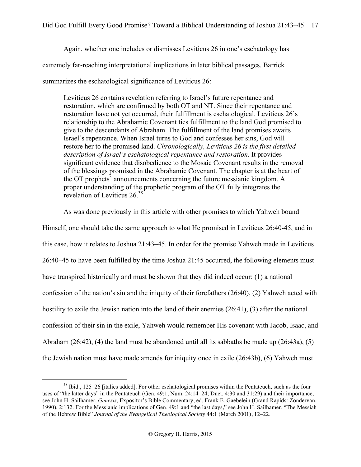Again, whether one includes or dismisses Leviticus 26 in one's eschatology has extremely far-reaching interpretational implications in later biblical passages. Barrick summarizes the eschatological significance of Leviticus 26:

Leviticus 26 contains revelation referring to Israel's future repentance and restoration, which are confirmed by both OT and NT. Since their repentance and restoration have not yet occurred, their fulfillment is eschatological. Leviticus 26's relationship to the Abrahamic Covenant ties fulfillment to the land God promised to give to the descendants of Abraham. The fulfillment of the land promises awaits Israel's repentance. When Israel turns to God and confesses her sins, God will restore her to the promised land. *Chronologically, Leviticus 26 is the first detailed description of Israel's eschatological repentance and restoration*. It provides significant evidence that disobedience to the Mosaic Covenant results in the removal of the blessings promised in the Abrahamic Covenant. The chapter is at the heart of the OT prophets' announcements concerning the future messianic kingdom. A proper understanding of the prophetic program of the OT fully integrates the revelation of Leviticus 26.<sup>38</sup>

As was done previously in this article with other promises to which Yahweh bound Himself, one should take the same approach to what He promised in Leviticus 26:40-45, and in this case, how it relates to Joshua 21:43–45. In order for the promise Yahweh made in Leviticus 26:40–45 to have been fulfilled by the time Joshua 21:45 occurred, the following elements must have transpired historically and must be shown that they did indeed occur: (1) a national confession of the nation's sin and the iniquity of their forefathers (26:40), (2) Yahweh acted with hostility to exile the Jewish nation into the land of their enemies (26:41), (3) after the national confession of their sin in the exile, Yahweh would remember His covenant with Jacob, Isaac, and Abraham (26:42), (4) the land must be abandoned until all its sabbaths be made up (26:43a), (5) the Jewish nation must have made amends for iniquity once in exile (26:43b), (6) Yahweh must

<sup>38</sup> Ibid., 125–26 [italics added]. For other eschatological promises within the Pentateuch, such as the four uses of "the latter days" in the Pentateuch (Gen. 49:1, Num. 24:14–24; Duet. 4:30 and 31:29) and their importance, see John H. Sailhamer, *Genesis*, Expositor's Bible Commentary, ed. Frank E. Gaebelein (Grand Rapids: Zondervan, 1990), 2:132. For the Messianic implications of Gen. 49:1 and "the last days," see John H. Sailhamer, "The Messiah of the Hebrew Bible" *Journal of the Evangelical Theological Society* 44:1 (March 2001), 12–22.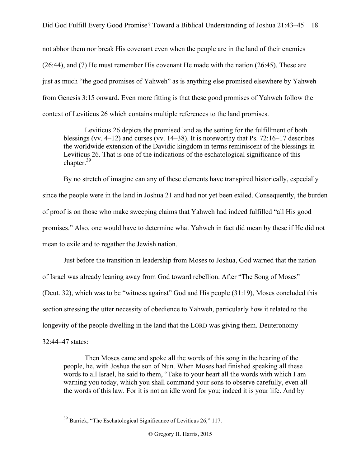not abhor them nor break His covenant even when the people are in the land of their enemies (26:44), and (7) He must remember His covenant He made with the nation (26:45). These are just as much "the good promises of Yahweh" as is anything else promised elsewhere by Yahweh from Genesis 3:15 onward. Even more fitting is that these good promises of Yahweh follow the context of Leviticus 26 which contains multiple references to the land promises.

Leviticus 26 depicts the promised land as the setting for the fulfillment of both blessings (vv. 4–12) and curses (vv. 14–38). It is noteworthy that Ps. 72:16–17 describes the worldwide extension of the Davidic kingdom in terms reminiscent of the blessings in Leviticus 26. That is one of the indications of the eschatological significance of this chapter.<sup>39</sup>

By no stretch of imagine can any of these elements have transpired historically, especially since the people were in the land in Joshua 21 and had not yet been exiled. Consequently, the burden of proof is on those who make sweeping claims that Yahweh had indeed fulfilled "all His good promises." Also, one would have to determine what Yahweh in fact did mean by these if He did not mean to exile and to regather the Jewish nation.

Just before the transition in leadership from Moses to Joshua, God warned that the nation of Israel was already leaning away from God toward rebellion. After "The Song of Moses" (Deut. 32), which was to be "witness against" God and His people (31:19), Moses concluded this section stressing the utter necessity of obedience to Yahweh, particularly how it related to the longevity of the people dwelling in the land that the LORD was giving them. Deuteronomy 32:44–47 states:

Then Moses came and spoke all the words of this song in the hearing of the people, he, with Joshua the son of Nun. When Moses had finished speaking all these words to all Israel, he said to them, "Take to your heart all the words with which I am warning you today, which you shall command your sons to observe carefully, even all the words of this law. For it is not an idle word for you; indeed it is your life. And by

<sup>&</sup>lt;sup>39</sup> Barrick, "The Eschatological Significance of Leviticus 26," 117.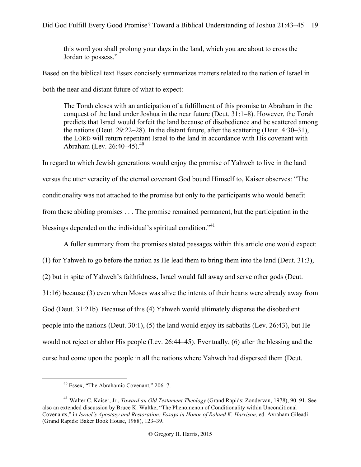this word you shall prolong your days in the land, which you are about to cross the Jordan to possess."

Based on the biblical text Essex concisely summarizes matters related to the nation of Israel in

both the near and distant future of what to expect:

The Torah closes with an anticipation of a fulfillment of this promise to Abraham in the conquest of the land under Joshua in the near future (Deut. 31:1–8). However, the Torah predicts that Israel would forfeit the land because of disobedience and be scattered among the nations (Deut. 29:22–28). In the distant future, after the scattering (Deut. 4:30–31), the LORD will return repentant Israel to the land in accordance with His covenant with Abraham (Lev.  $26:40-45$ ).<sup>40</sup>

In regard to which Jewish generations would enjoy the promise of Yahweh to live in the land versus the utter veracity of the eternal covenant God bound Himself to, Kaiser observes: "The conditionality was not attached to the promise but only to the participants who would benefit from these abiding promises . . . The promise remained permanent, but the participation in the blessings depended on the individual's spiritual condition."<sup>41</sup>

A fuller summary from the promises stated passages within this article one would expect:

(1) for Yahweh to go before the nation as He lead them to bring them into the land (Deut. 31:3), (2) but in spite of Yahweh's faithfulness, Israel would fall away and serve other gods (Deut. 31:16) because (3) even when Moses was alive the intents of their hearts were already away from God (Deut. 31:21b). Because of this (4) Yahweh would ultimately disperse the disobedient people into the nations (Deut. 30:1), (5) the land would enjoy its sabbaths (Lev. 26:43), but He would not reject or abhor His people (Lev. 26:44–45). Eventually, (6) after the blessing and the curse had come upon the people in all the nations where Yahweh had dispersed them (Deut.

<sup>40</sup> Essex, "The Abrahamic Covenant," 206–7.

<sup>41</sup> Walter C. Kaiser, Jr., *Toward an Old Testament Theology* (Grand Rapids: Zondervan, 1978), 90–91. See also an extended discussion by Bruce K. Waltke, "The Phenomenon of Conditionality within Unconditional Covenants," in *Israel's Apostasy and Restoration: Essays in Honor of Roland K. Harrison*, ed. Avraham Gileadi (Grand Rapids: Baker Book House, 1988), 123–39.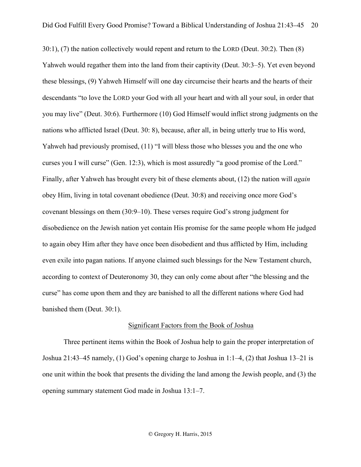30:1), (7) the nation collectively would repent and return to the LORD (Deut. 30:2). Then (8) Yahweh would regather them into the land from their captivity (Deut. 30:3–5). Yet even beyond these blessings, (9) Yahweh Himself will one day circumcise their hearts and the hearts of their descendants "to love the LORD your God with all your heart and with all your soul, in order that you may live" (Deut. 30:6). Furthermore (10) God Himself would inflict strong judgments on the nations who afflicted Israel (Deut. 30: 8), because, after all, in being utterly true to His word, Yahweh had previously promised, (11) "I will bless those who blesses you and the one who curses you I will curse" (Gen. 12:3), which is most assuredly "a good promise of the Lord." Finally, after Yahweh has brought every bit of these elements about, (12) the nation will *again* obey Him, living in total covenant obedience (Deut. 30:8) and receiving once more God's covenant blessings on them (30:9–10). These verses require God's strong judgment for disobedience on the Jewish nation yet contain His promise for the same people whom He judged to again obey Him after they have once been disobedient and thus afflicted by Him, including even exile into pagan nations. If anyone claimed such blessings for the New Testament church, according to context of Deuteronomy 30, they can only come about after "the blessing and the curse" has come upon them and they are banished to all the different nations where God had banished them (Deut. 30:1).

#### Significant Factors from the Book of Joshua

Three pertinent items within the Book of Joshua help to gain the proper interpretation of Joshua 21:43–45 namely, (1) God's opening charge to Joshua in 1:1–4, (2) that Joshua 13–21 is one unit within the book that presents the dividing the land among the Jewish people, and (3) the opening summary statement God made in Joshua 13:1–7.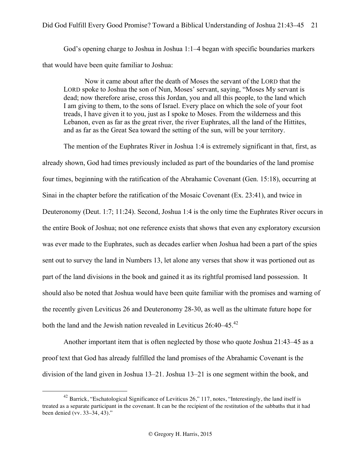God's opening charge to Joshua in Joshua 1:1–4 began with specific boundaries markers that would have been quite familiar to Joshua:

Now it came about after the death of Moses the servant of the LORD that the LORD spoke to Joshua the son of Nun, Moses' servant, saying, "Moses My servant is dead; now therefore arise, cross this Jordan, you and all this people, to the land which I am giving to them, to the sons of Israel. Every place on which the sole of your foot treads, I have given it to you, just as I spoke to Moses. From the wilderness and this Lebanon, even as far as the great river, the river Euphrates, all the land of the Hittites, and as far as the Great Sea toward the setting of the sun, will be your territory.

The mention of the Euphrates River in Joshua 1:4 is extremely significant in that, first, as already shown, God had times previously included as part of the boundaries of the land promise four times, beginning with the ratification of the Abrahamic Covenant (Gen. 15:18), occurring at Sinai in the chapter before the ratification of the Mosaic Covenant (Ex. 23:41), and twice in Deuteronomy (Deut. 1:7; 11:24). Second, Joshua 1:4 is the only time the Euphrates River occurs in the entire Book of Joshua; not one reference exists that shows that even any exploratory excursion was ever made to the Euphrates, such as decades earlier when Joshua had been a part of the spies sent out to survey the land in Numbers 13, let alone any verses that show it was portioned out as part of the land divisions in the book and gained it as its rightful promised land possession. It should also be noted that Joshua would have been quite familiar with the promises and warning of the recently given Leviticus 26 and Deuteronomy 28-30, as well as the ultimate future hope for both the land and the Jewish nation revealed in Leviticus 26:40–45.<sup>42</sup>

Another important item that is often neglected by those who quote Joshua 21:43–45 as a proof text that God has already fulfilled the land promises of the Abrahamic Covenant is the division of the land given in Joshua 13–21. Joshua 13–21 is one segment within the book, and

<sup>&</sup>lt;sup>42</sup> Barrick, "Eschatological Significance of Leviticus 26," 117, notes, "Interestingly, the land itself is treated as a separate participant in the covenant. It can be the recipient of the restitution of the sabbaths that it had been denied (vv. 33–34, 43)."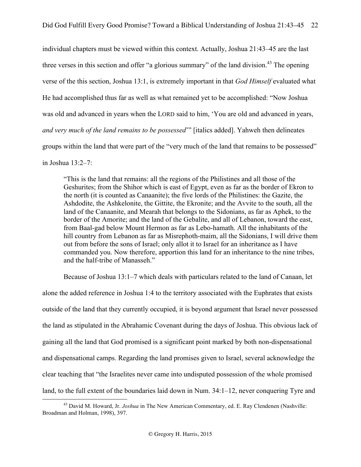individual chapters must be viewed within this context. Actually, Joshua 21:43–45 are the last three verses in this section and offer "a glorious summary" of the land division.<sup>43</sup> The opening verse of the this section, Joshua 13:1, is extremely important in that *God Himself* evaluated what He had accomplished thus far as well as what remained yet to be accomplished: "Now Joshua was old and advanced in years when the LORD said to him, 'You are old and advanced in years, *and very much of the land remains to be possessed*'" [italics added]. Yahweh then delineates groups within the land that were part of the "very much of the land that remains to be possessed" in Joshua 13:2–7:

"This is the land that remains: all the regions of the Philistines and all those of the Geshurites; from the Shihor which is east of Egypt, even as far as the border of Ekron to the north (it is counted as Canaanite); the five lords of the Philistines: the Gazite, the Ashdodite, the Ashkelonite, the Gittite, the Ekronite; and the Avvite to the south, all the land of the Canaanite, and Mearah that belongs to the Sidonians, as far as Aphek, to the border of the Amorite; and the land of the Gebalite, and all of Lebanon, toward the east, from Baal-gad below Mount Hermon as far as Lebo-hamath. All the inhabitants of the hill country from Lebanon as far as Misrephoth-maim, all the Sidonians, I will drive them out from before the sons of Israel; only allot it to Israel for an inheritance as I have commanded you. Now therefore, apportion this land for an inheritance to the nine tribes, and the half-tribe of Manasseh."

Because of Joshua 13:1–7 which deals with particulars related to the land of Canaan, let alone the added reference in Joshua 1:4 to the territory associated with the Euphrates that exists outside of the land that they currently occupied, it is beyond argument that Israel never possessed the land as stipulated in the Abrahamic Covenant during the days of Joshua. This obvious lack of gaining all the land that God promised is a significant point marked by both non-dispensational and dispensational camps. Regarding the land promises given to Israel, several acknowledge the clear teaching that "the Israelites never came into undisputed possession of the whole promised land, to the full extent of the boundaries laid down in Num. 34:1–12, never conquering Tyre and

<sup>&</sup>lt;sup>43</sup> David M. Howard, Jr. *Joshua* in The New American Commentary, ed. E. Ray Clendenen (Nashville: Broadman and Holman, 1998), 397.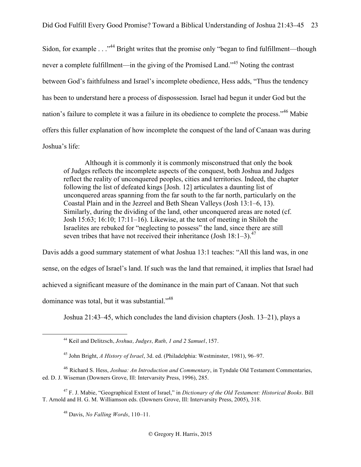Sidon, for example . . . "<sup>44</sup> Bright writes that the promise only "began to find fulfillment—though never a complete fulfillment—in the giving of the Promised Land."<sup>45</sup> Noting the contrast between God's faithfulness and Israel's incomplete obedience, Hess adds, "Thus the tendency has been to understand here a process of dispossession. Israel had begun it under God but the nation's failure to complete it was a failure in its obedience to complete the process."<sup>46</sup> Mabie offers this fuller explanation of how incomplete the conquest of the land of Canaan was during Joshua's life:

Although it is commonly it is commonly misconstrued that only the book of Judges reflects the incomplete aspects of the conquest, both Joshua and Judges reflect the reality of unconquered peoples, cities and territories. Indeed, the chapter following the list of defeated kings [Josh. 12] articulates a daunting list of unconquered areas spanning from the far south to the far north, particularly on the Coastal Plain and in the Jezreel and Beth Shean Valleys (Josh 13:1–6, 13). Similarly, during the dividing of the land, other unconquered areas are noted (cf. Josh 15:63; 16:10; 17:11–16). Likewise, at the tent of meeting in Shiloh the Israelites are rebuked for "neglecting to possess" the land, since there are still seven tribes that have not received their inheritance (Josh  $18:1-3$ ).<sup>47</sup>

Davis adds a good summary statement of what Joshua 13:1 teaches: "All this land was, in one sense, on the edges of Israel's land. If such was the land that remained, it implies that Israel had achieved a significant measure of the dominance in the main part of Canaan. Not that such dominance was total, but it was substantial."48

Joshua 21:43–45, which concludes the land division chapters (Josh. 13–21), plays a

<sup>47</sup> F. J. Mabie, "Geographical Extent of Israel," in *Dictionary of the Old Testament: Historical Books*. Bill T. Arnold and H. G. M. Williamson eds. (Downers Grove, Ill: Intervarsity Press, 2005), 318.

<sup>48</sup> Davis, *No Falling Words*, 110–11.

 <sup>44</sup> Keil and Delitzsch, *Joshua, Judges, Ruth, 1 and 2 Samuel*, 157.

<sup>45</sup> John Bright, *A History of Israel*, 3d. ed. (Philadelphia: Westminster, 1981), 96–97.

<sup>46</sup> Richard S. Hess, *Joshua: An Introduction and Commentary*, in Tyndale Old Testament Commentaries, ed. D. J. Wiseman (Downers Grove, Ill: Intervarsity Press, 1996), 285.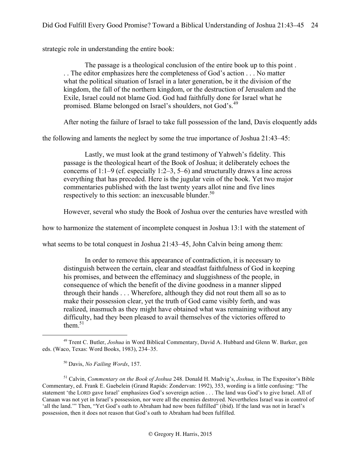strategic role in understanding the entire book:

The passage is a theological conclusion of the entire book up to this point . . . The editor emphasizes here the completeness of God's action . . . No matter what the political situation of Israel in a later generation, be it the division of the kingdom, the fall of the northern kingdom, or the destruction of Jerusalem and the Exile, Israel could not blame God. God had faithfully done for Israel what he promised. Blame belonged on Israel's shoulders, not God's.<sup>49</sup>

After noting the failure of Israel to take full possession of the land, Davis eloquently adds

the following and laments the neglect by some the true importance of Joshua 21:43–45:

Lastly, we must look at the grand testimony of Yahweh's fidelity. This passage is the theological heart of the Book of Joshua; it deliberately echoes the concerns of 1:1–9 (cf. especially 1:2–3, 5–6) and structurally draws a line across everything that has preceded. Here is the jugular vein of the book. Yet two major commentaries published with the last twenty years allot nine and five lines respectively to this section: an inexcusable blunder. $50$ 

However, several who study the Book of Joshua over the centuries have wrestled with

how to harmonize the statement of incomplete conquest in Joshua 13:1 with the statement of

what seems to be total conquest in Joshua 21:43–45, John Calvin being among them:

In order to remove this appearance of contradiction, it is necessary to distinguish between the certain, clear and steadfast faithfulness of God in keeping his promises, and between the effeminacy and sluggishness of the people, in consequence of which the benefit of the divine goodness in a manner slipped through their hands . . . Wherefore, although they did not rout them all so as to make their possession clear, yet the truth of God came visibly forth, and was realized, inasmuch as they might have obtained what was remaining without any difficulty, had they been pleased to avail themselves of the victories offered to them $51$ 

<sup>51</sup> Calvin, *Commentary on the Book of Joshua* 248. Donald H. Madvig's, *Joshua,* in The Expositor's Bible Commentary, ed. Frank E. Gaebelein (Grand Rapids: Zondervan: 1992), 353, wording is a little confusing: "The statement 'the LORD gave Israel' emphasizes God's sovereign action . . . The land was God's to give Israel. All of Canaan was not yet in Israel's possession, nor were all the enemies destroyed. Nevertheless Israel was in control of 'all the land.'" Then, "Yet God's oath to Abraham had now been fulfilled" (ibid). If the land was not in Israel's possession, then it does not reason that God's oath to Abraham had been fulfilled.

 <sup>49</sup> Trent C. Butler, *Joshua* in Word Biblical Commentary, David A. Hubbard and Glenn W. Barker, gen eds. (Waco, Texas: Word Books, 1983), 234–35.

<sup>50</sup> Davis, *No Failing Words*, 157.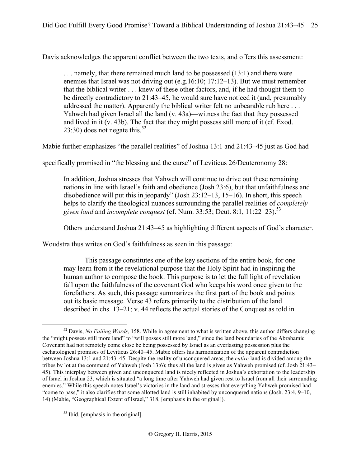Davis acknowledges the apparent conflict between the two texts, and offers this assessment:

. . . namely, that there remained much land to be possessed (13:1) and there were enemies that Israel was not driving out (e.g.16:10; 17:12–13). But we must remember that the biblical writer . . . knew of these other factors, and, if he had thought them to be directly contradictory to 21:43–45, he would sure have noticed it (and, presumably addressed the matter). Apparently the biblical writer felt no unbearable rub here . . . Yahweh had given Israel all the land (v. 43a)—witness the fact that they possessed and lived in it (v. 43b). The fact that they might possess still more of it (cf. Exod. 23:30) does not negate this.<sup>52</sup>

Mabie further emphasizes "the parallel realities" of Joshua 13:1 and 21:43–45 just as God had

specifically promised in "the blessing and the curse" of Leviticus 26/Deuteronomy 28:

In addition, Joshua stresses that Yahweh will continue to drive out these remaining nations in line with Israel's faith and obedience (Josh 23:6), but that unfaithfulness and disobedience will put this in jeopardy" (Josh 23:12–13, 15–16). In short, this speech helps to clarify the theological nuances surrounding the parallel realities of *completely given land and incomplete conquest* (cf. Num. 33:53; Deut. 8:1, 11:22–23).<sup>53</sup>

Others understand Joshua 21:43–45 as highlighting different aspects of God's character.

Woudstra thus writes on God's faithfulness as seen in this passage:

This passage constitutes one of the key sections of the entire book, for one may learn from it the revelational purpose that the Holy Spirit had in inspiring the human author to compose the book. This purpose is to let the full light of revelation fall upon the faithfulness of the covenant God who keeps his word once given to the forefathers. As such, this passage summarizes the first part of the book and points out its basic message. Verse 43 refers primarily to the distribution of the land described in chs. 13–21; v. 44 reflects the actual stories of the Conquest as told in

<sup>53</sup> Ibid. [emphasis in the original].

 <sup>52</sup> Davis, *No Failing Words,* 158. While in agreement to what is written above, this author differs changing the "might possess still more land" to "will posses still more land," since the land boundaries of the Abrahamic Covenant had not remotely come close be being possessed by Israel as an everlasting possession plus the eschatological promises of Leviticus 26:40–45. Mabie offers his harmonization of the apparent contradiction between Joshua 13:1 and 21:43–45: Despite the reality of unconquered areas, the *entire* land is divided among the tribes by lot at the command of Yahweh (Josh 13:6); thus all the land is given as Yahweh promised (cf. Josh 21:43– 45). This interplay between given and unconquered land is nicely reflected in Joshua's exhortation to the leadership of Israel in Joshua 23, which is situated "a long time after Yahweh had given rest to Israel from all their surrounding enemies." While this speech notes Israel's victories in the land and stresses that everything Yahweh promised had "come to pass," it also clarifies that some allotted land is still inhabited by unconquered nations (Josh. 23:4, 9–10, 14) (Mabie, "Geographical Extent of Israel," 318, [emphasis in the original]).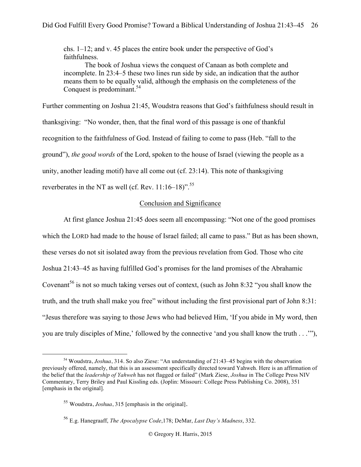chs. 1–12; and v. 45 places the entire book under the perspective of God's faithfulness.

The book of Joshua views the conquest of Canaan as both complete and incomplete. In 23:4–5 these two lines run side by side, an indication that the author means them to be equally valid, although the emphasis on the completeness of the Conquest is predominant.<sup>54</sup>

Further commenting on Joshua 21:45, Woudstra reasons that God's faithfulness should result in thanksgiving: "No wonder, then, that the final word of this passage is one of thankful recognition to the faithfulness of God. Instead of failing to come to pass (Heb. "fall to the ground"), *the good words* of the Lord, spoken to the house of Israel (viewing the people as a unity, another leading motif) have all come out (cf. 23:14). This note of thanksgiving reverberates in the NT as well (cf. Rev.  $11:16-18$ )".<sup>55</sup>

# Conclusion and Significance

At first glance Joshua 21:45 does seem all encompassing: "Not one of the good promises which the LORD had made to the house of Israel failed; all came to pass." But as has been shown, these verses do not sit isolated away from the previous revelation from God. Those who cite Joshua 21:43–45 as having fulfilled God's promises for the land promises of the Abrahamic Covenant<sup>56</sup> is not so much taking verses out of context, (such as John 8:32 "you shall know the truth, and the truth shall make you free" without including the first provisional part of John 8:31: "Jesus therefore was saying to those Jews who had believed Him, 'If you abide in My word, then you are truly disciples of Mine,' followed by the connective 'and you shall know the truth . . .'"),

 <sup>54</sup> Woudstra, *Joshua*, 314. So also Ziese: "An understanding of 21:43–45 begins with the observation previously offered, namely, that this is an assessment specifically directed toward Yahweh. Here is an affirmation of the belief that the *leadership of Yahweh* has not flagged or failed" (Mark Ziese, *Joshua* in The College Press NIV Commentary, Terry Briley and Paul Kissling eds. (Joplin: Missouri: College Press Publishing Co. 2008), 351 [emphasis in the original].

<sup>55</sup> Woudstra, *Joshua*, 315 [emphasis in the original].

<sup>56</sup> E.g. Hanegraaff, *The Apocalypse Code*,178; DeMar, *Last Day's Madness*, 332.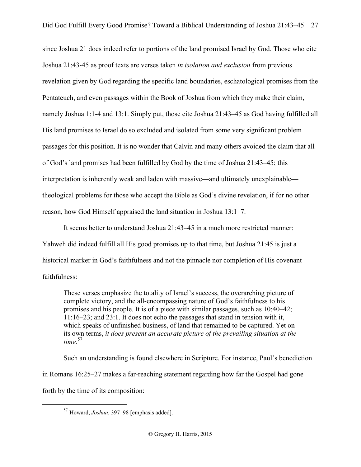since Joshua 21 does indeed refer to portions of the land promised Israel by God. Those who cite Joshua 21:43-45 as proof texts are verses taken *in isolation and exclusion* from previous revelation given by God regarding the specific land boundaries, eschatological promises from the Pentateuch, and even passages within the Book of Joshua from which they make their claim, namely Joshua 1:1-4 and 13:1. Simply put, those cite Joshua 21:43–45 as God having fulfilled all His land promises to Israel do so excluded and isolated from some very significant problem passages for this position. It is no wonder that Calvin and many others avoided the claim that all of God's land promises had been fulfilled by God by the time of Joshua 21:43–45; this interpretation is inherently weak and laden with massive—and ultimately unexplainable theological problems for those who accept the Bible as God's divine revelation, if for no other reason, how God Himself appraised the land situation in Joshua 13:1–7.

It seems better to understand Joshua 21:43–45 in a much more restricted manner: Yahweh did indeed fulfill all His good promises up to that time, but Joshua 21:45 is just a historical marker in God's faithfulness and not the pinnacle nor completion of His covenant faithfulness:

These verses emphasize the totality of Israel's success, the overarching picture of complete victory, and the all-encompassing nature of God's faithfulness to his promises and his people. It is of a piece with similar passages, such as 10:40–42; 11:16–23; and 23:1. It does not echo the passages that stand in tension with it, which speaks of unfinished business, of land that remained to be captured. Yet on its own terms, *it does present an accurate picture of the prevailing situation at the time*. 57

Such an understanding is found elsewhere in Scripture. For instance, Paul's benediction in Romans 16:25–27 makes a far-reaching statement regarding how far the Gospel had gone forth by the time of its composition:

 <sup>57</sup> Howard, *Joshua*, 397–98 [emphasis added].